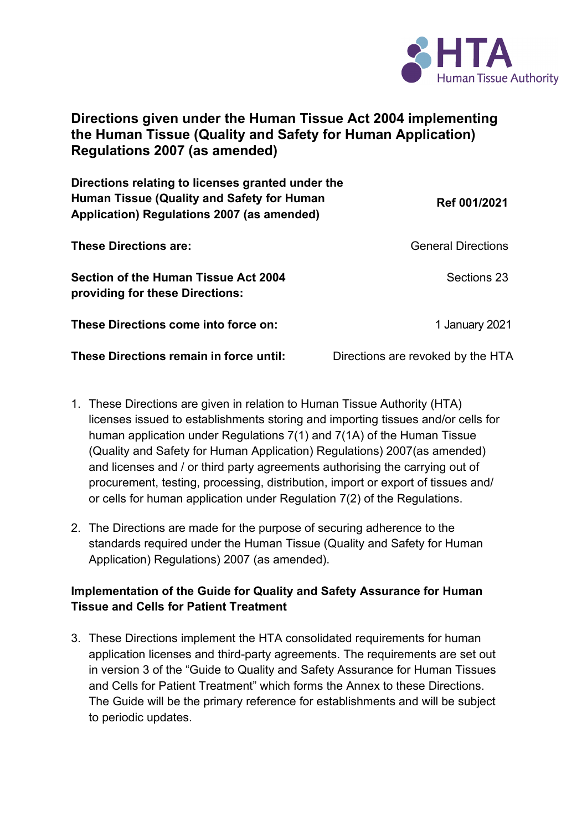

## **Directions given under the Human Tissue Act 2004 implementing the Human Tissue (Quality and Safety for Human Application) Regulations 2007 (as amended)**

| Directions relating to licenses granted under the<br><b>Human Tissue (Quality and Safety for Human</b><br>Application) Regulations 2007 (as amended) | Ref 001/2021                      |
|------------------------------------------------------------------------------------------------------------------------------------------------------|-----------------------------------|
| <b>These Directions are:</b>                                                                                                                         | <b>General Directions</b>         |
| <b>Section of the Human Tissue Act 2004</b><br>providing for these Directions:                                                                       | Sections 23                       |
| These Directions come into force on:                                                                                                                 | 1 January 2021                    |
| These Directions remain in force until:                                                                                                              | Directions are revoked by the HTA |

- 1. These Directions are given in relation to Human Tissue Authority (HTA) licenses issued to establishments storing and importing tissues and/or cells for human application under Regulations 7(1) and 7(1A) of the Human Tissue (Quality and Safety for Human Application) Regulations) 2007(as amended) and licenses and / or third party agreements authorising the carrying out of procurement, testing, processing, distribution, import or export of tissues and/ or cells for human application under Regulation 7(2) of the Regulations.
- 2. The Directions are made for the purpose of securing adherence to the standards required under the Human Tissue (Quality and Safety for Human Application) Regulations) 2007 (as amended).

## **Implementation of the Guide for Quality and Safety Assurance for Human Tissue and Cells for Patient Treatment**

3. These Directions implement the HTA consolidated requirements for human application licenses and third-party agreements. The requirements are set out in version 3 of the "Guide to Quality and Safety Assurance for Human Tissues and Cells for Patient Treatment" which forms the Annex to these Directions. The Guide will be the primary reference for establishments and will be subject to periodic updates.